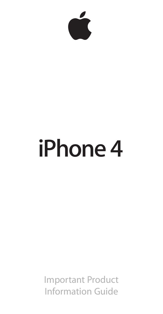

# **iPhone 4**

Important Product Information Guide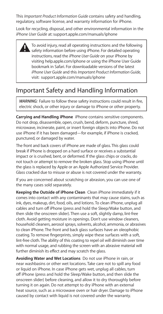This *Important Product Information Guide* contains safety and handling, regulatory, software license, and warranty information for iPhone.

Look for recycling, disposal, and other environmental information in the *iPhone User Guide* at: support.apple.com/manuals/iphone

> To avoid injury, read all operating instructions and the following safety information before using iPhone. For detailed operating instructions, read the *iPhone User Guide* on your iPhone by visiting help.apple.com/iphone or using the iPhone User Guide bookmark in Safari. For downloadable versions of the latest *iPhone User Guide* and this *Important Product Information Guide,* visit: support.apple.com/manuals/iphone

# Important Safety and Handling Information

*WARNING:*Failure to follow these safety instructions could result in fire, electric shock, or other injury or damage to iPhone or other property.

**Carrying and Handling iPhone**  iPhone contains sensitive components. Do not drop, disassemble, open, crush, bend, deform, puncture, shred, microwave, incinerate, paint, or insert foreign objects into iPhone. Do not use iPhone if it has been damaged—for example, if iPhone is cracked, punctured, or damaged by water.

The front and back covers of iPhone are made of glass. This glass could break if iPhone is dropped on a hard surface or receives a substantial impact or is crushed, bent, or deformed. If the glass chips or cracks, do not touch or attempt to remove the broken glass. Stop using iPhone until the glass is replaced by Apple or an Apple Authorized Service Provider. Glass cracked due to misuse or abuse is not covered under the warranty.

If you are concerned about scratching or abrasion, you can use one of the many cases sold separately.

**Keeping the Outside of iPhone Clean**  Clean iPhone immediately if it comes into contact with any contaminants that may cause stains, such as ink, dyes, makeup, dirt, food, oils, and lotions. To clean iPhone, unplug all cables and turn off iPhone (press and hold the Sleep/Wake button, and then slide the onscreen slider). Then use a soft, slightly damp, lint-free cloth. Avoid getting moisture in openings. Don't use window cleaners, household cleaners, aerosol sprays, solvents, alcohol, ammonia, or abrasives to clean iPhone. The front and back glass surfaces have an oleophobic coating. To remove fingerprints, simply wipe these surfaces with a soft, lint-free cloth. The ability of this coating to repel oil will diminish over time with normal usage, and rubbing the screen with an abrasive material will further diminish its effect and may scratch the glass.

**Avoiding Water and Wet Locations**  Do not use iPhone in rain, or near washbasins or other wet locations. Take care not to spill any food or liquid on iPhone. In case iPhone gets wet, unplug all cables, turn off iPhone (press and hold the Sleep/Wake button, and then slide the onscreen slider) before cleaning, and allow it to dry thoroughly before turning it on again. Do not attempt to dry iPhone with an external heat source, such as a microwave oven or hair dryer. Damage to iPhone caused by contact with liquid is not covered under the warranty.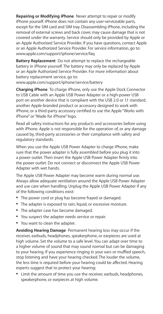**Repairing or Modifying iPhone**  Never attempt to repair or modify iPhone yourself. iPhone does not contain any user-serviceable parts, except for the SIM card and SIM tray. Disassembling iPhone, including the removal of external screws and back cover, may cause damage that is not covered under the warranty. Service should only be provided by Apple or an Apple Authorized Service Provider. If you have questions, contact Apple or an Apple Authorized Service Provider. For service information, go to:   www.apple.com/support/iphone/service/faq

**Battery Replacement**  Do not attempt to replace the rechargeable battery in iPhone yourself. The battery may only be replaced by Apple or an Apple Authorized Service Provider. For more information about battery replacement service, go to:

www.apple.com/support/iphone/service/battery

**Charging iPhone**  To charge iPhone, only use the Apple Dock Connector to USB Cable with an Apple USB Power Adapter or a high-power USB port on another device that is compliant with the USB 2.0 or 1.1 standard, another Apple-branded product or accessory designed to work with iPhone, or a third-party accessory certified to use the Apple "Works with iPhone" or "Made for iPhone" logo.

Read all safety instructions for any products and accessories before using with iPhone. Apple is not responsible for the operation of, or any damage caused by, third-party accessories or their compliance with safety and regulatory standards.

When you use the Apple USB Power Adapter to charge iPhone, make sure that the power adapter is fully assembled before you plug it into a power outlet. Then insert the Apple USB Power Adapter firmly into the power outlet. Do not connect or disconnect the Apple USB Power Adapter with wet hands.

The Apple USB Power Adapter may become warm during normal use. Always allow adequate ventilation around the Apple USB Power Adapter and use care when handling. Unplug the Apple USB Power Adapter if any of the following conditions exist:

- The power cord or plug has become frayed or damaged.
- The adapter is exposed to rain, liquid, or excessive moisture.
- The adapter case has become damaged.
- Â You suspect the adapter needs service or repair.
- Â You want to clean the adapter.

**Avoiding Hearing Damage**  Permanent hearing loss may occur if the receiver, earbuds, headphones, speakerphone, or earpieces are used at high volume. Set the volume to a safe level. You can adapt over time to a higher volume of sound that may sound normal but can be damaging to your hearing. If you experience ringing in your ears or muffled speech, stop listening and have your hearing checked. The louder the volume, the less time is required before your hearing could be affected. Hearing experts suggest that to protect your hearing:

**•** Limit the amount of time you use the receiver, earbuds, headphones, speakerphone, or earpieces at high volume.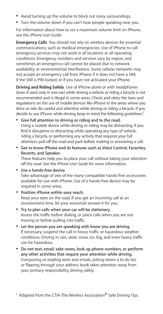- Avoid turning up the volume to block out noisy surroundings.
- Turn the volume down if you can't hear people speaking near you.

For information about how to set a maximum volume limit on iPhone, see the *iPhone User Guide.*

**Emergency Calls** You should not rely on wireless devices for essential communications, such as medical emergencies. Use of iPhone to call emergency services may not work in all locations or all operating conditions. Emergency numbers and services vary by region, and sometimes an emergency call cannot be placed due to network availability or environmental interference. Some cellular networks may not accept an emergency call from iPhone if it does not have a SIM, if the SIM is PIN-locked, or if you have not activated your iPhone.

**Driving and Riding Safely**  Use of iPhone alone or with headphones (even if used only in one ear) while driving a vehicle or riding a bicycle is not recommended and is illegal in some areas. Check and obey the laws and regulations on the use of mobile devices like iPhone in the areas where you drive or ride. Be careful and attentive while driving or riding a bicycle. If you decide to use iPhone while driving, keep in mind the following quidelines:<sup>1</sup>

- Â **Give full attention to driving or riding and to the road.** Using a mobile device while driving or riding may be distracting. If you find it disruptive or distracting while operating any type of vehicle, riding a bicycle, or performing any activity that requires your full attention, pull off the road and park before making or answering a call.
- Â **Get to know iPhone and its features such as Voice Control, Favorites, Recents, and Speaker.**

These features help you to place your call without taking your attention off the road. See the *iPhone User Guide* for more information.

- Â **Use a hands-free device.** Take advantage of one of the many compatible hands-free accessories available for use with iPhone. Use of a hands-free device may be required in some areas.
- Â **Position iPhone within easy reach.** Keep your eyes on the road. If you get an incoming call at an inconvenient time, let your voicemail answer it for you.
- Â **Try to plan calls when your car will be stationary.** Assess the traffic before dialing, or place calls when you are not moving or before pulling into traffic.
- Â **Let the person you are speaking with know you are driving.** If necessary, suspend the call in heavy traffic or hazardous weather conditions. Driving in rain, sleet, snow, ice, fog, and even heavy traffic can be hazardous.
- Â **Do not text, email, take notes, look up phone numbers, or perform any other activities that require your attention while driving.** Composing or reading texts and emails, jotting down a to-do list, or flipping through your address book takes attention away from your primary responsibility, driving safely.

<sup>1</sup> Adapted from the CTIA-The Wireless Association<sup>®</sup> Safe Driving Tips.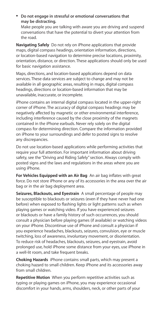Â **Do not engage in stressful or emotional conversations that may be distracting.** 

Make people you are talking with aware you are driving and suspend conversations that have the potential to divert your attention from the road.

**Navigating Safely**  Do not rely on iPhone applications that provide maps, digital compass headings, orientation information, directions, or location-based navigation to determine precise locations, proximity, orientation, distance, or direction. These applications should only be used for basic navigation assistance.

Maps, directions, and location-based applications depend on data services. These data services are subject to change and may not be available in all geographic areas, resulting in maps, digital compass headings, directions or location-based information that may be unavailable, inaccurate, or incomplete.

iPhone contains an internal digital compass located in the upper-right corner of iPhone. The accuracy of digital compass headings may be negatively affected by magnetic or other environmental interference, including interference caused by the close proximity of the magnets contained in the iPhone earbuds. Never rely solely on the digital compass for determining direction. Compare the information provided on iPhone to your surroundings and defer to posted signs to resolve any discrepancies.

Do not use location-based applications while performing activities that require your full attention. For important information about driving safety, see the "Driving and Riding Safely" section. Always comply with posted signs and the laws and regulations in the areas where you are using iPhone.

**For Vehicles Equipped with an Air Bag**  An air bag inflates with great force. Do not store iPhone or any of its accessories in the area over the air bag or in the air bag deployment area.

**Seizures, Blackouts, and Eyestrain**  A small percentage of people may be susceptible to blackouts or seizures (even if they have never had one before) when exposed to flashing lights or light patterns such as when playing games or watching video. If you have experienced seizures or blackouts or have a family history of such occurrences, you should consult a physician before playing games (if available) or watching videos on your iPhone. Discontinue use of iPhone and consult a physician if you experience headaches, blackouts, seizures, convulsion, eye or muscle twitching, loss of awareness, involuntary movement, or disorientation. To reduce risk of headaches, blackouts, seizures, and eyestrain, avoid prolonged use, hold iPhone some distance from your eyes, use iPhone in a well-lit room, and take frequent breaks.

**Choking Hazards**  iPhone contains small parts, which may present a choking hazard to small children. Keep iPhone and its accessories away from small children.

**Repetitive Motion**  When you perform repetitive activities such as typing or playing games on iPhone, you may experience occasional discomfort in your hands, arms, shoulders, neck, or other parts of your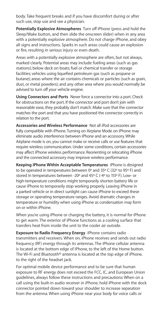body. Take frequent breaks and if you have discomfort during or after such use, stop use and see a physician.

**Potentially Explosive Atmospheres**  Turn off iPhone (press and hold the Sleep/Wake button, and then slide the onscreen slider) when in any area with a potentially explosive atmosphere. Do not charge iPhone, and obey all signs and instructions. Sparks in such areas could cause an explosion or fire, resulting in serious injury or even death.

Areas with a potentially explosive atmosphere are often, but not always, marked clearly. Potential areas may include: fueling areas (such as gas stations); below deck on boats; fuel or chemical transfer or storage facilities; vehicles using liquefied petroleum gas (such as propane or butane); areas where the air contains chemicals or particles (such as grain, dust, or metal powders); and any other area where you would normally be advised to turn off your vehicle engine.

**Using Connectors and Ports**  Never force a connector into a port. Check for obstructions on the port. If the connector and port don't join with reasonable ease, they probably don't match. Make sure that the connector matches the port and that you have positioned the connector correctly in relation to the port.

**Accessories and Wireless Performance**  Not all iPod accessories are fully compatible with iPhone. Turning on Airplane Mode on iPhone may eliminate audio interference between iPhone and an accessory. While Airplane mode is on, you cannot make or receive calls or use features that require wireless communication. Under some conditions, certain accessories may affect iPhone wireless performance. Reorienting or relocating iPhone and the connected accessory may improve wireless performance.

**Keeping iPhone Within Acceptable Temperatures**  iPhone is designed to be operated in temperatures between 0º and 35º C (32º to 95º F) and stored in temperatures between -20º and 45º C (-4º to 113º F). Low- or high-temperature conditions might temporarily shorten battery life or cause iPhone to temporarily stop working properly. Leaving iPhone in a parked vehicle or in direct sunlight can cause iPhone to exceed these storage or operating temperature ranges. Avoid dramatic changes in temperature or humidity when using iPhone as condensation may form on or within iPhone.

When you're using iPhone or charging the battery, it is normal for iPhone to get warm. The exterior of iPhone functions as a cooling surface that transfers heat from inside the unit to the cooler air outside.

**Exposure to Radio Frequency Energy**  iPhone contains radio transmitters and receivers. When on, iPhone receives and sends out radio frequency (RF) energy through its antennas. The iPhone cellular antenna is located at the bottom edge of iPhone, to the left of the Home button. The Wi-Fi and Bluetooth® antenna is located at the top edge of iPhone, to the right of the headset jack.

For optimal mobile device performance and to be sure that human exposure to RF energy does not exceed the FCC, IC, and European Union guidelines, always follow these instructions and precautions: When on a call using the built-in audio receiver in iPhone, hold iPhone with the dock connector pointed down toward your shoulder to increase separation from the antenna. When using iPhone near your body for voice calls or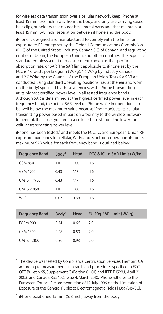for wireless data transmission over a cellular network, keep iPhone at least 15 mm (5/8 inch) away from the body, and only use carrying cases, belt clips, or holders that do not have metal parts and that maintain at least 15 mm (5/8 inch) separation between iPhone and the body.

iPhone is designed and manufactured to comply with the limits for exposure to RF energy set by the Federal Communications Commission (FCC) of the United States, Industry Canada (IC) of Canada, and regulating entities of Japan, the European Union, and other countries. The exposure standard employs a unit of measurement known as the specific absorption rate, or SAR. The SAR limit applicable to iPhone set by the FCC is 1.6 watts per kilogram (W/kg), 1.6 W/kg by Industry Canada, and 2.0 W/kg by the Council of the European Union. Tests for SAR are conducted using standard operating positions (i.e., at the ear and worn on the body) specified by these agencies, with iPhone transmitting at its highest certified power level in all tested frequency bands. Although SAR is determined at the highest certified power level in each frequency band, the actual SAR level of iPhone while in operation can be well below the maximum value because iPhone adjusts its cellular transmitting power based in part on proximity to the wireless network. In general, the closer you are to a cellular base station, the lower the cellular transmitting power level.

iPhone has been tested,<sup>2</sup> and meets the FCC, IC, and European Union RF exposure guidelines for cellular, Wi-Fi, and Bluetooth operation. iPhone's maximum SAR value for each frequency band is outlined below:

| <b>Frequency Band</b> | $B$ odv $3$ | Head | FCC & IC 1q SAR Limit (W/kq) |
|-----------------------|-------------|------|------------------------------|
| GSM 850               | 1.11        | 1.00 | 1.6                          |
| GSM 1900              | 0.43        | 117  | 1.6                          |
| <b>UMTS II 1900</b>   | 0.43        | 117  | 1.6                          |
| UMTS V 850            | 1.11        | 1.00 | 1.6                          |
| Wi-Fi                 | 0.07        | 0.88 | 1.6                          |

| <b>Frequency Band</b> | Body <sup>3</sup> | Head | EU 10g SAR Limit (W/kg) |
|-----------------------|-------------------|------|-------------------------|
| <b>FGSM 900</b>       | 0.74              | 0.66 | 2.0                     |
| <b>GSM 1800</b>       | 0.28              | 0.59 | 20                      |
| <b>UMTS L2100</b>     | 0.36              | 0.93 | 20                      |

- <sup>2</sup> The device was tested by Compliance Certification Services, Fremont, CA according to measurement standards and procedures specified in FCC OET Bulletin 65, Supplement C (Edition 01-01) and IEEE P1528.1, April 21 2003, and Canada RSS 102, Issue 4, March 2010. iPhone adheres to the European Council Recommendation of 12 July 1999 on the Limitation of Exposure of the General Public to Electromagnetic Fields [1999/519/EC].
- <sup>3</sup> iPhone positioned 15 mm (5/8 inch) away from the body.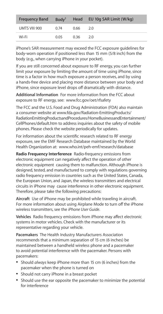| <b>Frequency Band</b> | Body <sup>3</sup> |      | Head EU 10g SAR Limit (W/kg) |
|-----------------------|-------------------|------|------------------------------|
| UMTS VIII 900         | 0.74              | 0.66 | 20                           |
| Wi-Fi                 | 0.05              | 0.36 | 2.0                          |

iPhone's SAR measurement may exceed the FCC exposure guidelines for body-worn operation if positioned less than 15 mm (5/8 inch) from the body (e.g., when carrying iPhone in your pocket).

If you are still concerned about exposure to RF energy, you can further limit your exposure by limiting the amount of time using iPhone, since time is a factor in how much exposure a person receives, and by using a hands-free device and placing more distance between your body and iPhone, since exposure level drops off dramatically with distance.

**Additional Information**  For more information from the FCC about exposure to RF energy, see:  www.fcc.gov/oet/rfsafety

The FCC and the U.S. Food and Drug Administration (FDA) also maintain a consumer website at www.fda.gov/Radiation-EmittingProducts/ RadiationEmittingProductsandProcedures/HomeBusinessandEntertainment/ CellPhones/default.htm to address inquiries about the safety of mobile phones. Please check the website periodically for updates.

For information about the scientific research related to RF energy exposure, see the EMF Research Database maintained by the World Health Organization at:  www.who.int/peh-emf/research/database

**Radio Frequency Interference**  Radio-frequency emissions from electronic equipment can negatively affect the operation of other electronic equipment causing them to malfunction. Although iPhone is designed, tested, and manufactured to comply with regulations governing radio frequency emission in countries such as the United States, Canada, the European Union, and Japan, the wireless transmitters and electrical circuits in iPhone may cause interference in other electronic equipment. Therefore, please take the following precautions:

**Aircraft**  Use of iPhone may be prohibited while traveling in aircraft. For more information about using Airplane Mode to turn off the iPhone wireless transmitters, see the *iPhone User Guide*.

**Vehicles**  Radio frequency emissions from iPhone may affect electronic systems in motor vehicles. Check with the manufacturer or its representative regarding your vehicle.

**Pacemakers**  The Health Industry Manufacturers Association recommends that a minimum separation of 15 cm (6 inches) be maintained between a handheld wireless phone and a pacemaker to avoid potential interference with the pacemaker. Persons with pacemakers:

- Â Should *always* keep iPhone more than 15 cm (6 inches) from the pacemaker when the phone is turned on
- Â Should not carry iPhone in a breast pocket
- Â Should use the ear opposite the pacemaker to minimize the potential for interference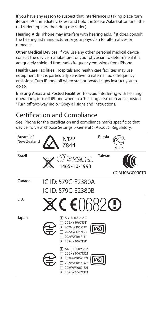If you have any reason to suspect that interference is taking place, turn iPhone *off* immediately. (Press and hold the Sleep/Wake button until the red slider appears, then drag the slider.)

**Hearing Aids**  iPhone may interfere with hearing aids. If it does, consult the hearing aid manufacturer or your physician for alternatives or remedies.

**Other Medical Devices**  If you use any other personal medical device, consult the device manufacturer or your physician to determine if it is adequately shielded from radio frequency emissions from iPhone.

**Health Care Facilities**  Hospitals and health care facilities may use equipment that is particularly sensitive to external radio frequency emissions. Turn iPhone off when staff or posted signs instruct you to do so.

**Blasting Areas and Posted Facilities**  To avoid interfering with blasting operations, turn off iPhone when in a "blasting area" or in areas posted "Turn off two-way radio." Obey all signs and instructions.

# Certification and Compliance

See iPhone for the certification and compliance marks specific to that device. To view, choose Settings > General > About > Regulatory.

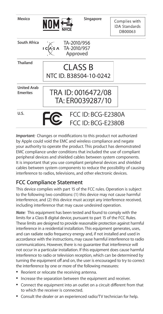| Mexico                                |                                                  | Singapore                                | Complies with<br><b>IDA Standards</b><br>DB00063 |
|---------------------------------------|--------------------------------------------------|------------------------------------------|--------------------------------------------------|
| South Africa                          | TA-2010/956<br>I C(A's A TA-2010/957<br>Approved |                                          |                                                  |
| Thailand                              |                                                  | CLASS B<br>NTC ID. B38504-10-0242        |                                                  |
| <b>United Arab</b><br><b>Emerites</b> |                                                  | TRA ID: 0016472/08<br>TA: ER0039287/10   |                                                  |
| U.S.                                  |                                                  | FCC ID: BCG-F2380A<br>FCC ID: BCG-F2380B |                                                  |

*Important:*Changes or modifications to this product not authorized by Apple could void the EMC and wireless compliance and negate your authority to operate the product. This product has demonstrated EMC compliance under conditions that included the use of compliant peripheral devices and shielded cables between system components. It is important that you use compliant peripheral devices and shielded cables between system components to reduce the possibility of causing interference to radios, televisions, and other electronic devices.

# **FCC Compliance Statement**

This device complies with part 15 of the FCC rules. Operation is subject to the following two conditions: (1) this device may not cause harmful interference, and (2) this device must accept any interference received, including interference that may cause undesired operation.

*Note:*  This equipment has been tested and found to comply with the limits for a Class B digital device, pursuant to part 15 of the FCC Rules. These limits are designed to provide reasonable protection against harmful interference in a residential installation. This equipment generates, uses, and can radiate radio frequency energy and, if not installed and used in accordance with the instructions, may cause harmful interference to radio communications. However, there is no guarantee that interference will not occur in a particular installation. If this equipment does cause harmful interference to radio or television reception, which can be determined by turning the equipment off and on, the user is encouraged to try to correct the interference by one or more of the following measures:

- Reorient or relocate the receiving antenna.
- Â Increase the separation between the equipment and receiver.
- Â Connect the equipment into an outlet on a circuit different from that to which the receiver is connected.
- Â Consult the dealer or an experienced radio/TV technician for help.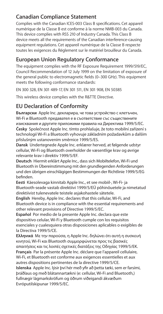## **Canadian Compliance Statement**

Complies with the Canadian ICES-003 Class B specifications. Cet appareil numérique de la Classe B est conforme à la norme NMB-003 du Canada. This device complies with RSS 210 of Industry Canada. This Class B device meets all the requirements of the Canadian interference-causing equipment regulations. Cet appareil numérique de la Classe B respecte toutes les exigences du Réglement sur le matériel brouilleur du Canada.

# **European Union Regulatory Conformance**

The equipment complies with the RF Exposure Requirement 1999/519/EC, Council Recommendation of 12 July 1999 on the limitation of exposure of the general public to electromagnetic fields (0–300 GHz). This equipment meets the following conformance standards:

EN 300 328, EN 301 489-17, EN 301 511, EN 301 908, EN 50385

This wireless device complies with the R&TTE Directive.

# **EU Declaration of Conformity**

**Български**  Apple Inc. декларира, че това устройство с клетъчен, Wi-Fi и Bluetooth предавател е в съответствие със съществените

изисквания и другите приложими правила на Директива 1999/5/ЕС. **Česky**Společnost Apple Inc. tímto prohlašuje, že toto mobilní zařízení s technologií Wi-Fi a Bluetooth vyhovuje základním požadavkům a dalším příslušným ustanovením směrnice 1999/5/ES.

**Dansk**Undertegnede Apple Inc. erklærer herved, at følgende udstyr cellular, Wi-Fi og Bluetooth overholder de væsentlige krav og øvrige relevante krav i direktiv 1999/5/EF.

**Deutsch**Hiermit erklärt Apple Inc., dasssich Mobiltelefon, Wi-Fi und Bluetooth in Übereinstimmung mit den grundlegenden Anforderungen und den übrigen einschlägigen Bestimmungen der Richtlinie 1999/5/EG befinden.

**Eesti**Käesolevaga kinnitab Apple Inc., et see mobiil-, Wi-Fi- ja Bluetooth-seade vastab direktiivi 1999/5/EÜ põhinõuetele ja nimetatud direktiivist tulenevatele teistele asjakohastele sätetele.

**English**Hereby, Apple Inc. declares that this cellular, Wi-Fi, and Bluetooth device is in compliance with the essential requirements and other relevant provisions of Directive 1999/5/EC.

**Español**Por medio de la presente Apple Inc. declara que este dispositivo celular, Wi-Fi y Bluetooth cumple con los requisitos esenciales y cualesquiera otras disposiciones aplicables o exigibles de la Directiva 1999/5/CE.

**Ελληνικά**Mε την παρούσα, η Apple Inc. δηλώνει ότι αυτή η συσκευή κινητού, Wi-Fi και Bluetooth συμμορφώνεται προς τις βασικές απαιτήσεις και τις λοιπές σχετικές διατάξεις της Οδηγίας 1999/5/ΕΚ. **Français**Par la présente Apple Inc. déclare que l'appareil cellulaire, Wi-Fi, et Bluetooth est conforme aux exigences essentielles et aux autres dispositions pertinentes de la directive 1999/5/CE.

**Islenska**Apple Inc. lýsir því hér með yfir að þetta tæki, sem er farsími, þráðlaus og með blátannartækni (e: cellular, Wi-Fi and Bluetooth,) fullnægir lágmarkskröfum og öðrum viðeigandi ákvæðum Evróputilskipunar 1999/5/EC.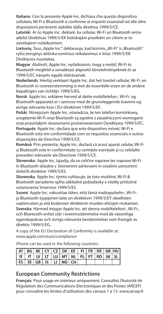**Italiano**Con la presente Apple Inc. dichiara che questo dispositivo cellulare, Wi-Fi e Bluetooth è conforme ai requisiti essenziali ed alle altre disposizioni pertinenti stabilite dalla direttiva 1999/5/CE.

**Latviski**Ar šo Apple Inc. deklarē, ka cellular, Wi-Fi un Bluetooth ierīce atbilst Direktīvas 1999/5/EK būtiskajām prasībām un citiem ar to saistītajiem noteikumiem.

Lietuvių Šiuo "Apple Inc." deklaruoja, kad korinio, "Wi-Fi" ir "Bluetooth" ryšio įrenginys atitinka esminius reikalavimus ir kitas 1999/5/EB Direktyvos nuostatas.

**Magyar**Alulírott, Apple Inc. nyilatkozom, hogy a mobil, Wi-Fi és Bluetooth megfelel a vonatkozó alapvetõ követelményeknek és az 1999/5/EC irányelv egyéb elõírásainak.

**Nederlands**Hierbij verklaart Apple Inc. dat het toestel cellular, Wi-Fi, en Bluetooth in overeenstemming is met de essentiële eisen en de andere bepalingen van richtlijn 1999/5/EG.

**Norsk**Apple Inc. erklærer herved at dette mobiltelefon-, Wi-Fi- og Bluetooth-apparatet er i samsvar med de grunnleggende kravene og øvrige relevante krav i EU-direktivet 1999/5/EF.

**Polski**Niniejszym Apple Inc. oświadcza, że ten telefon komórkowy, urządzenie Wi-Fi oraz Bluetooth są zgodne z zasadniczymi wymogami oraz pozostałymi stosownymi postanowieniami Dyrektywy 1999/5/EC.

**Português**Apple Inc. declara que este dispositivo móvel, Wi-Fi e Bluetooth está em conformidade com os requisitos essenciais e outras disposições da Directiva 1999/5/CE.

**Română**Prin prezenta, Apple Inc. declară că acest aparat celular, Wi-Fi și Bluetooth este în conformitate cu cerintele esențiale și cu celelalte prevederi relevante ale Directivei 1999/5/CE.

**Slovensko**Apple Inc. izjavlja, da so celične naprave ter naprave Wi-Fi in Bluetooth skladne z bistvenimi zahtevami in ostalimi ustreznimi določili direktive 1999/5/ES.

**Slovensky**Apple Inc. týmto vyhlasuje, že toto mobilné, Wi-Fi & Bluetooth zariadenie spĺňa základné požiadavky a všetky príslušné ustanovenia Smernice 1999/5/ES.

**Suomi**Apple Inc. vakuuttaa täten, että tämä matkapuhelin-, Wi-Fiia Bluetooth-tyyppinen laite on direktiivin 1999/5/EY oleellisten vaatimusten ja sitä koskevien direktiivin muiden ehtojen mukainen.

**Svenska**Härmed intygar Apple Inc. att denna mobiltelefoni-, Wi-Fi-, och Bluetooth-enhet står i överensstämmelse med de väsentliga egenskapskrav och övriga relevanta bestämmelser som framgår av direktiv 1999/5/EG.

A copy of the EU Declaration of Conformity is available at: www.apple.com/euro/compliance

AT RG RECYCZ DK FE FLER DE GRIHL IE IT LV LT LU MT NL PL PT  $RO$  $\overline{\mathsf{sk}}$  $ES$  $SEGBIBLINOCH$ 

iPhone can be used in the following countries:

# **European Community Restrictions**

**Français**Pour usage en intérieur uniquement. Consultez l'Autorité de Régulation des Communications Electroniques et des Postes (ARCEP) pour connaître les limites d'utilisation des canaux 1 à 13. www.arcep.fr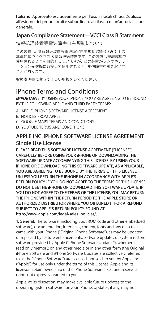**Italiano**Approvato esclusivamente per l'uso in locali chiusi. L'utilizzo all'esterno dei propri locali è subordinato al rilascio di un'autorizzazione generale.

# **Japan Compliance Statement—VCCI Class B Statement**

#### 情報処理装置等電波障害自主規制について

この装置は、情報処理装置等需波障実白主規制協議会 (VCCI)の 基準に基づくクラスB情報技術装置です。この装置は家庭環境で 使用されることを目的としていますが、この装置がラジオやテレ ビジョン受信機に近接して使用されると、受信障害を引き起こす ことがあります。

取扱説明書に従って正しい取扱をしてください。

# iPhone Terms and Conditions

*IMPORTANT:* BY USING YOUR iPHONE, YOU ARE AGREEING TO BE BOUND BY THE FOLLOWING APPLE AND THIRD PARTY TERMS:

- A. APPLE iPHONE SOFTWARE LICENSE AGREEMENT
- B. NOTICES FROM APPLE
- C. GOOGLE MAPS TERMS AND CONDITIONS
- D. YOUTUBE TERMS AND CONDITIONS

## **APPLE INC. iPHONE SOFTWARE LICENSE AGREEMENT Single Use License**

**PLEASE READ THIS SOFTWARE LICENSE AGREEMENT ("LICENSE") CAREFULLY BEFORE USING YOUR iPHONE OR DOWNLOADING THE SOFTWARE UPDATE ACCOMPANYING THIS LICENSE. BY USING YOUR iPHONE OR DOWNLOADING THIS SOFTWARE UPDATE, AS APPLICABLE, YOU ARE AGREEING TO BE BOUND BY THE TERMS OF THIS LICENSE, UNLESS YOU RETURN THE iPHONE IN ACCORDANCE WITH APPLE'S RETURN POLICY. IF YOU DO NOT AGREE TO THE TERMS OF THIS LICENSE, DO NOT USE THE iPHONE OR DOWNLOAD THIS SOFTWARE UPDATE. IF YOU DO NOT AGREE TO THE TERMS OF THE LICENSE, YOU MAY RETURN THE iPHONE WITHIN THE RETURN PERIOD TO THE APPLE STORE OR AUTHORIZED DISTRIBUTOR WHERE YOU OBTAINED IT FOR A REFUND, SUBJECT TO APPLE'S RETURN POLICY FOUND AT http://www.apple.com/legal/sales\_policies/.**

**1. General.** The software (including Boot ROM code and other embedded software), documentation, interfaces, content, fonts and any data that came with your iPhone ("Original iPhone Software"), as may be updated or replaced by feature enhancements, software updates or system restore software provided by Apple ("iPhone Software Updates"), whether in read only memory, on any other media or in any other form (the Original iPhone Software and iPhone Software Updates are collectively referred to as the "iPhone Software") are licensed, not sold, to you by Apple Inc. ("Apple") for use only under the terms of this License. Apple and its licensors retain ownership of the iPhone Software itself and reserve all rights not expressly granted to you.

Apple, at its discretion, may make available future updates to the operating system software for your iPhone. Updates, if any, may not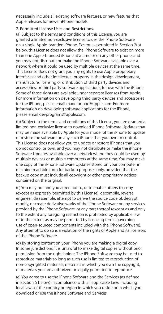necessarily include all existing software features, or new features that Apple releases for newer iPhone models.

#### **2. Permitted License Uses and Restrictions.**

(a) Subject to the terms and conditions of this License, you are granted a limited non-exclusive license to use the iPhone Software on a single Apple-branded iPhone. Except as permitted in Section 2(b) below, this License does not allow the iPhone Software to exist on more than one Apple-branded iPhone at a time or on any other phone, and you may not distribute or make the iPhone Software available over a network where it could be used by multiple devices at the same time. This License does not grant you any rights to use Apple proprietary interfaces and other intellectual property in the design, development, manufacture, licensing or distribution of third party devices and accessories, or third party software applications, for use with the iPhone. Some of those rights are available under separate licenses from Apple. For more information on developing third party devices and accessories for the iPhone, please email madeforipod@apple.com. For more information on developing software applications for the iPhone, please email devprograms@apple.com.

(b) Subject to the terms and conditions of this License, you are granted a limited non-exclusive license to download iPhone Software Updates that may be made available by Apple for your model of the iPhone to update or restore the software on any such iPhone that you own or control. This License does not allow you to update or restore iPhones that you do not control or own, and you may not distribute or make the iPhone Software Updates available over a network where they could be used by multiple devices or multiple computers at the same time. You may make one copy of the iPhone Software Updates stored on your computer in machine-readable form for backup purposes only, provided that the backup copy must include all copyright or other proprietary notices contained on the original.

(c) You may not and you agree not to, or to enable others to, copy (except as expressly permitted by this License), decompile, reverse engineer, disassemble, attempt to derive the source code of, decrypt, modify, or create derivative works of the iPhone Software or any services provided by the iPhone Software, or any part thereof (except as and only to the extent any foregoing restriction is prohibited by applicable law or to the extent as may be permitted by licensing terms governing use of open-sourced components included with the iPhone Software). Any attempt to do so is a violation of the rights of Apple and its licensors of the iPhone Software.

(d) By storing content on your iPhone you are making a digital copy. In some jurisdictions, it is unlawful to make digital copies without prior permission from the rightsholder. The iPhone Software may be used to reproduce materials so long as such use is limited to reproduction of non-copyrighted materials, materials in which you own the copyright, or materials you are authorized or legally permitted to reproduce.

(e) You agree to use the iPhone Software and the Services (as defined in Section 5 below) in compliance with all applicable laws, including local laws of the country or region in which you reside or in which you download or use the iPhone Software and Services.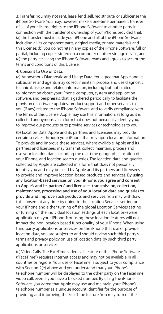**3. Transfer.** You may not rent, lease, lend, sell, redistribute, or sublicense the iPhone Software. You may, however, make a one-time permanent transfer of all of your license rights to the iPhone Software to another party in connection with the transfer of ownership of your iPhone, provided that: (a) the transfer must include your iPhone and all of the iPhone Software, including all its component parts, original media, printed materials and this License; (b) you do not retain any copies of the iPhone Software, full or partial, including copies stored on a computer or other storage device; and (c) the party receiving the iPhone Software reads and agrees to accept the terms and conditions of this License.

#### **4. Consent to Use of Data.**

(a) Anonymous Diagnostic and Usage Data. You agree that Apple and its subsidiaries and agents may collect, maintain, process and use diagnostic, technical, usage and related information, including but not limited to information about your iPhone, computer, system and application software, and peripherals, that is gathered periodically to facilitate the provision of software updates, product support and other services to you (if any) related to the iPhone Software, and to verify compliance with the terms of this License. Apple may use this information, as long as it is collected anonymously in a form that does not personally identify you, to improve our products or to provide services or technologies to you.

(b) Location Data. Apple and its partners and licensees may provide certain services through your iPhone that rely upon location information. To provide and improve these services, where available, Apple and its partners and licensees may transmit, collect, maintain, process and use your location data, including the real-time geographic location of your iPhone, and location search queries. The location data and queries collected by Apple are collected in a form that does not personally identify you and may be used by Apple and its partners and licensees to provide and improve location-based products and services. **By using any location-based services on your iPhone, you agree and consent to Apple's and its partners' and licensees' transmission, collection, maintenance, processing and use of your location data and queries to provide and improve such products and services.** You may withdraw this consent at any time by going to the Location Services setting on your iPhone and either turning off the global Location Services setting or turning off the individual location settings of each location-aware application on your iPhone. Not using these location features will not impact the non location-based functionality of your iPhone. When using third party applications or services on the iPhone that use or provide location data, you are subject to and should review such third party's terms and privacy policy on use of location data by such third party applications or services.

(c) Video Calls. The FaceTime video call feature of the iPhone Software ("FaceTime") requires Internet access and may not be available in all countries or regions. Your use of FaceTime is subject to your compliance with Section 2(e) above and you understand that your iPhone's telephone number will be displayed to the other party on the FaceTime video call, even if you have a blocked number. By using the iPhone Software, you agree that Apple may use and maintain your iPhone's telephone number as a unique account identifier for the purpose of providing and improving the FaceTime feature. You may turn off the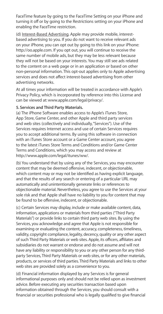FaceTime feature by going to the FaceTime Setting on your iPhone and turning it off or by going to the Restrictions setting on your iPhone and enabling the FaceTime restriction.

(d) Interest-Based Advertising. Apple may provide mobile, interestbased advertising to you. If you do not want to receive relevant ads on your iPhone, you can opt out by going to this link on your iPhone: http://oo.apple.com. If you opt out, you will continue to receive the same number of mobile ads, but they may be less relevant because they will not be based on your interests. You may still see ads related to the content on a web page or in an application or based on other non-personal information. This opt-out applies only to Apple advertising services and does not affect interest-based advertising from other advertising networks.

At all times your information will be treated in accordance with Apple's Privacy Policy, which is incorporated by reference into this License and can be viewed at: www.apple.com/legal/privacy/.

#### **5. Services and Third Party Materials.**

(a) The iPhone Software enables access to Apple's iTunes Store, App Store, Game Center, and other Apple and third party services and web sites (collectively and individually, "Services"). Use of the Services requires Internet access and use of certain Services requires you to accept additional terms. By using this software in connection with an iTunes Store account or a Game Center account, you agree to the latest iTunes Store Terms and Conditions and/or Game Center Terms and Conditions, which you may access and review at http://www.apple.com/legal/itunes/ww/.

(b) You understand that by using any of the Services, you may encounter content that may be deemed offensive, indecent, or objectionable, which content may or may not be identified as having explicit language. and that the results of any search or entering of a particular URL may automatically and unintentionally generate links or references to objectionable material. Nevertheless, you agree to use the Services at your sole risk and that Apple shall have no liability to you for content that may be found to be offensive, indecent, or objectionable.

(c) Certain Services may display, include or make available content, data, information, applications or materials from third parties ("Third Party Materials") or provide links to certain third party web sites. By using the Services, you acknowledge and agree that Apple is not responsible for examining or evaluating the content, accuracy, completeness, timeliness, validity, copyright compliance, legality, decency, quality or any other aspect of such Third Party Materials or web sites. Apple, its officers, affiliates and subsidiaries do not warrant or endorse and do not assume and will not have any liability or responsibility to you or any other person for any thirdparty Services, Third Party Materials or web sites, or for any other materials, products, or services of third parties. Third Party Materials and links to other web sites are provided solely as a convenience to you.

(d) Financial information displayed by any Services is for general informational purposes only and should not be relied upon as investment advice. Before executing any securities transaction based upon information obtained through the Services, you should consult with a financial or securities professional who is legally qualified to give financial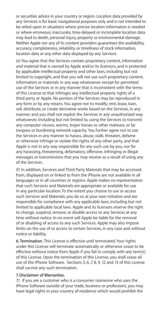or securities advice in your country or region. Location data provided by any Services is for basic navigational purposes only and is not intended to be relied upon in situations where precise location information is needed or where erroneous, inaccurate, time-delayed or incomplete location data may lead to death, personal injury, property or environmental damage. Neither Apple nor any of its content providers guarantees the availability, accuracy, completeness, reliability, or timeliness of stock information, location data or any other data displayed by any Services.

(e) You agree that the Services contain proprietary content, information and material that is owned by Apple and/or its licensors, and is protected by applicable intellectual property and other laws, including but not limited to copyright, and that you will not use such proprietary content, information or materials in any way whatsoever except for permitted use of the Services or in any manner that is inconsistent with the terms of this License or that infringes any intellectual property rights of a third party or Apple. No portion of the Services may be reproduced in any form or by any means. You agree not to modify, rent, lease, loan, sell, distribute, or create derivative works based on the Services, in any manner, and you shall not exploit the Services in any unauthorized way whatsoever, including but not limited to, using the Services to transmit any computer viruses, worms, trojan horses or other malware, or by trespass or burdening network capacity. You further agree not to use the Services in any manner to harass, abuse, stalk, threaten, defame or otherwise infringe or violate the rights of any other party, and that Apple is not in any way responsible for any such use by you, nor for any harassing, threatening, defamatory, offensive, infringing or illegal messages or transmissions that you may receive as a result of using any of the Services.

(f) In addition, Services and Third Party Materials that may be accessed from, displayed on or linked to from the iPhone are not available in all languages or in all countries or regions. Apple makes no representation that such Services and Materials are appropriate or available for use in any particular location. To the extent you choose to use or access such Services and Materials, you do so at your own initiative and are responsible for compliance with any applicable laws, including but not limited to applicable local laws. Apple and its licensors reserve the right to change, suspend, remove, or disable access to any Services at any time without notice. In no event will Apple be liable for the removal of or disabling of access to any such Services. Apple may also impose limits on the use of or access to certain Services, in any case and without notice or liability.

**6. Termination.** This License is effective until terminated. Your rights under this License will terminate automatically or otherwise cease to be effective without notice from Apple if you fail to comply with any term(s) of this License. Upon the termination of this License, you shall cease all use of the iPhone Software. Sections 5, 6, 7, 8, 9, 12 and 13 of this License shall survive any such termination.

#### **7. Disclaimer of Warranties.**

7.1 If you are a customer who is a consumer (someone who uses the iPhone Software outside of your trade, business or profession), you may have legal rights in your country of residence which would prohibit the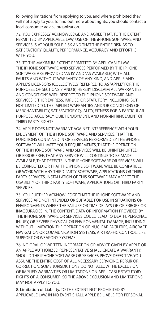following limitations from applying to you, and where prohibited they will not apply to you. To find out more about rights, you should contact a local consumer advice organization.

7.2 YOU EXPRESSLY ACKNOWLEDGE AND AGREE THAT, TO THE EXTENT PERMITTED BY APPLICABLE LAW, USE OF THE iPHONE SOFTWARE AND SERVICES IS AT YOUR SOLE RISK AND THAT THE ENTIRE RISK AS TO SATISFACTORY QUALITY, PERFORMANCE, ACCURACY AND EFFORT IS WITH YOU.

7.3 TO THE MAXIMUM EXTENT PERMITTED BY APPLICABLE LAW, THE iPHONE SOFTWARE AND SERVICES PERFORMED BY THE iPHONE SOFTWARE ARE PROVIDED "AS IS" AND "AS AVAILABLE", WITH ALL FAULTS AND WITHOUT WARRANTY OF ANY KIND, AND APPLE AND APPLE'S LICENSORS (COLLECTIVELY REFERRED TO AS "APPLE" FOR THE PURPOSES OF SECTIONS 7 AND 8) HEREBY DISCLAIM ALL WARRANTIES AND CONDITIONS WITH RESPECT TO THE iPHONE SOFTWARE AND SERVICES, EITHER EXPRESS, IMPLIED OR STATUTORY, INCLUDING, BUT NOT LIMITED TO, THE IMPLIED WARRANTIES AND/OR CONDITIONS OF MERCHANTABILITY, SATISFACTORY QUALITY, FITNESS FOR A PARTICULAR PURPOSE, ACCURACY, QUIET ENJOYMENT, AND NON-INFRINGEMENT OF THIRD PARTY RIGHTS.

7.4 APPLE DOES NOT WARRANT AGAINST INTERFERENCE WITH YOUR ENJOYMENT OF THE iPHONE SOFTWARE AND SERVICES, THAT THE FUNCTIONS CONTAINED IN OR SERVICES PERFORMED BY THE iPHONE SOFTWARE WILL MEET YOUR REQUIREMENTS, THAT THE OPERATION OF THE iPHONE SOFTWARE AND SERVICES WILL BE UNINTERRUPTED OR ERROR-FREE, THAT ANY SERVICE WILL CONTINUE TO BE MADE AVAILABLE, THAT DEFECTS IN THE iPHONE SOFTWARE OR SERVICES WILL BE CORRECTED, OR THAT THE iPHONE SOFTWARE WILL BE COMPATIBLE OR WORK WITH ANY THIRD PARTY SOFTWARE, APPLICATIONS OR THIRD PARTY SERVICES. INSTALLATION OF THIS SOFTWARE MAY AFFECT THE USABILITY OF THIRD PARTY SOFTWARE, APPLICATIONS OR THIRD PARTY SERVICES.

7.5 YOU FURTHER ACKNOWLEDGE THAT THE iPHONE SOFTWARE AND SERVICES ARE NOT INTENDED OR SUITABLE FOR USE IN SITUATIONS OR ENVIRONMENTS WHERE THE FAILURE OR TIME DELAYS OF, OR ERRORS OR INACCURACIES IN, THE CONTENT, DATA OR INFORMATION PROVIDED BY THE IPHONE SOFTWARE OR SERVICES COULD LEAD TO DEATH, PERSONAL INJURY, OR SEVERE PHYSICAL OR ENVIRONMENTAL DAMAGE, INCLUDING WITHOUT LIMITATION THE OPERATION OF NUCLEAR FACILITIES, AIRCRAFT NAVIGATION OR COMMUNICATION SYSTEMS, AIR TRAFFIC CONTROL, LIFE SUPPORT OR WEAPONS SYSTEMS.

7.6 NO ORAL OR WRITTEN INFORMATION OR ADVICE GIVEN BY APPLE OR AN APPLE AUTHORIZED REPRESENTATIVE SHALL CREATE A WARRANTY. SHOULD THE iPHONE SOFTWARE OR SERVICES PROVE DEFECTIVE, YOU ASSUME THE ENTIRE COST OF ALL NECESSARY SERVICING, REPAIR OR CORRECTION. SOME JURISDICTIONS DO NOT ALLOW THE EXCLUSION OF IMPLIED WARRANTIES OR LIMITATIONS ON APPLICABLE STATUTORY RIGHTS OF A CONSUMER, SO THE ABOVE EXCLUSION AND LIMITATIONS MAY NOT APPLY TO YOU.

**8. Limitation of Liability.** TO THE EXTENT NOT PROHIBITED BY APPLICABLE LAW, IN NO EVENT SHALL APPLE BE LIABLE FOR PERSONAL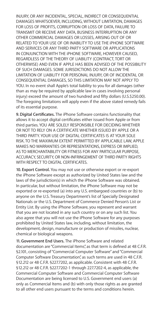INJURY, OR ANY INCIDENTAL, SPECIAL, INDIRECT OR CONSEQUENTIAL DAMAGES WHATSOEVER, INCLUDING, WITHOUT LIMITATION, DAMAGES FOR LOSS OF PROFITS, CORRUPTION OR LOSS OF DATA, FAILURE TO TRANSMIT OR RECEIVE ANY DATA, BUSINESS INTERRUPTION OR ANY OTHER COMMERCIAL DAMAGES OR LOSSES, ARISING OUT OF OR RELATED TO YOUR USE OF OR INABILITY TO USE THE iPHONE SOFTWARE AND SERVICES OR ANY THIRD PARTY SOFTWARE OR APPLICATIONS IN CONJUNCTION WITH THE iPHONE SOFTWARE, HOWEVER CAUSED, REGARDLESS OF THE THEORY OF LIABILITY (CONTRACT, TORT OR OTHERWISE) AND EVEN IF APPLE HAS BEEN ADVISED OF THE POSSIBILITY OF SUCH DAMAGES. SOME JURISDICTIONS DO NOT ALLOW THE LIMITATION OF LIABILITY FOR PERSONAL INJURY, OR OF INCIDENTAL OR CONSEQUENTIAL DAMAGES, SO THIS LIMITATION MAY NOT APPLY TO YOU. In no event shall Apple's total liability to you for all damages (other than as may be required by applicable law in cases involving personal injury) exceed the amount of two hundred and fifty dollars (U.S.\$250.00). The foregoing limitations will apply even if the above stated remedy fails of its essential purpose.

**9. Digital Certificates.** The iPhone Software contains functionality that allows it to accept digital certificates either issued from Apple or from third parties. YOU ARE SOLELY RESPONSIBLE FOR DECIDING WHETHER OR NOT TO RELY ON A CERTIFICATE WHETHER ISSUED BY APPLE OR A THIRD PARTY. YOUR USE OF DIGITAL CERTIFICATES IS AT YOUR SOLE RISK. TO THE MAXIMUM EXTENT PERMITTED BY APPLICABLE LAW, APPLE MAKES NO WARRANTIES OR REPRESENTATIONS, EXPRESS OR IMPLIED, AS TO MERCHANTABILITY OR FITNESS FOR ANY PARTICULAR PURPOSE. ACCURACY, SECURITY, OR NON-INFRINGEMENT OF THIRD PARTY RIGHTS WITH RESPECT TO DIGITAL CERTIFICATES.

**10. Export Control.** You may not use or otherwise export or re-export the iPhone Software except as authorized by United States law and the laws of the jurisdiction(s) in which the iPhone Software was obtained. In particular, but without limitation, the iPhone Software may not be exported or re-exported (a) into any U.S. embargoed countries or (b) to anyone on the U.S. Treasury Department's list of Specially Designated Nationals or the U.S. Department of Commerce Denied Person's List or Entity List. By using the iPhone Software, you represent and warrant that you are not located in any such country or on any such list. You also agree that you will not use the iPhone Software for any purposes prohibited by United States law, including, without limitation, the development, design, manufacture or production of missiles, nuclear, chemical or biological weapons.

**11. Government End Users.** The iPhone Software and related documentation are "Commercial Items", as that term is defined at 48 C.F.R. §2.101, consisting of "Commercial Computer Software" and "Commercial Computer Software Documentation", as such terms are used in 48 C.F.R. §12.212 or 48 C.F.R. §227.7202, as applicable. Consistent with 48 C.F.R. §12.212 or 48 C.F.R. §227.7202-1 through 227.7202-4, as applicable, the Commercial Computer Software and Commercial Computer Software Documentation are being licensed to U.S. Government end users (a) only as Commercial Items and (b) with only those rights as are granted to all other end users pursuant to the terms and conditions herein.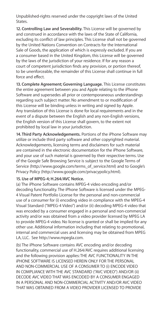Unpublished-rights reserved under the copyright laws of the United States.

**12. Controlling Law and Severability.** This License will be governed by and construed in accordance with the laws of the State of California, excluding its conflict of law principles. This License shall not be governed by the United Nations Convention on Contracts for the International Sale of Goods, the application of which is expressly excluded. If you are a consumer based in the United Kingdom, this License will be governed by the laws of the jurisdiction of your residence. If for any reason a court of competent jurisdiction finds any provision, or portion thereof, to be unenforceable, the remainder of this License shall continue in full force and effect.

**13. Complete Agreement; Governing Language.** This License constitutes the entire agreement between you and Apple relating to the iPhone Software and supersedes all prior or contemporaneous understandings regarding such subject matter. No amendment to or modification of this License will be binding unless in writing and signed by Apple. Any translation of this License is done for local requirements and in the event of a dispute between the English and any non-English versions, the English version of this License shall govern, to the extent not prohibited by local law in your jurisdiction.

**14. Third Party Acknowledgements.** Portions of the iPhone Software may utilize or include third party software and other copyrighted material. Acknowledgements, licensing terms and disclaimers for such material are contained in the electronic documentation for the iPhone Software, and your use of such material is governed by their respective terms. Use of the Google Safe Browsing Service is subject to the Google Terms of Service (http://www.google.com/terms\_of\_service.html) and to Google's Privacy Policy (http://www.google.com/privacypolicy.html).

#### **15. Use of MPEG-4; H.264/AVC Notice.**

(a) The iPhone Software contains MPEG-4 video encoding and/or decoding functionality. The iPhone Software is licensed under the MPEG-4 Visual Patent Portfolio License for the personal and non-commercial use of a consumer for (i) encoding video in compliance with the MPEG-4 Visual Standard ("MPEG-4 Video") and/or (ii) decoding MPEG-4 video that was encoded by a consumer engaged in a personal and non-commercial activity and/or was obtained from a video provider licensed by MPEG LA to provide MPEG-4 video. No license is granted or shall be implied for any other use. Additional information including that relating to promotional, internal and commercial uses and licensing may be obtained from MPEG LA, LLC. See http://www.mpegla.com.

(b) The iPhone Software contains AVC encoding and/or decoding functionality, commercial use of H.264/AVC requires additional licensing and the following provision applies: THE AVC FUNCTIONALITY IN THE iPHONE SOFTWARE IS LICENSED HEREIN ONLY FOR THE PERSONAL AND NON-COMMERCIAL USE OF A CONSUMER TO (i) ENCODE VIDEO IN COMPLIANCE WITH THE AVC STANDARD ("AVC VIDEO") AND/OR (ii) DECODE AVC VIDEO THAT WAS ENCODED BY A CONSUMER ENGAGED IN A PERSONAL AND NON-COMMERCIAL ACTIVITY AND/OR AVC VIDEO THAT WAS OBTAINED FROM A VIDEO PROVIDER LICENSED TO PROVIDE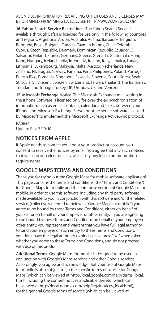#### AVC VIDEO. INFORMATION REGARDING OTHER USES AND LICENSES MAY BE OBTAINED FROM MPEG LA L.L.C. SEE HTTP://WWW.MPEGLA.COM.

**16. Yahoo Search Service Restrictions.** The Yahoo Search Service available through Safari is licensed for use only in the following countries and regions: Argentina, Aruba, Australia, Austria, Barbados, Belgium, Bermuda, Brazil, Bulgaria, Canada, Cayman Islands, Chile, Colombia, Cyprus, Czech Republic, Denmark, Dominican Republic, Ecuador, El Salvador, Finland, France, Germany, Greece, Grenada, Guatemala, Hong Kong, Hungary, Iceland, India, Indonesia, Ireland, Italy, Jamaica, Latvia, Lithuania, Luxembourg, Malaysia, Malta, Mexico, Netherlands, New Zealand, Nicaragua, Norway, Panama, Peru, Philippines, Poland, Portugal, Puerto Rico, Romania, Singapore, Slovakia, Slovenia, South Korea, Spain, St. Lucia, St. Vincent, Sweden, Switzerland, Taiwan, Thailand, The Bahamas, Trinidad and Tobago, Turkey, UK, Uruguay, US and Venezuela.

**17. Microsoft Exchange Notice.** The Microsoft Exchange mail setting in the iPhone Software is licensed only for over-the-air synchronization of information, such as email, contacts, calendar and tasks, between your iPhone and Microsoft Exchange Server or other server software licensed by Microsoft to implement the Microsoft Exchange ActiveSync protocol.

EA0654 Update Rev. 7/19/10

# **NOTICES FROM APPLE**

If Apple needs to contact you about your product or account, you consent to receive the notices by email. You agree that any such notices that we send you electronically will satisfy any legal communication requirements.

# **GOOGLE MAPS TERMS AND CONDITIONS**

Thank you for trying out the Google Maps for mobile software application! This page contains the terms and conditions (the "Terms and Conditions") for Google Maps for mobile and the enterprise version of Google Maps for mobile. In order to use this software, including any third party software made available to you in conjunction with this software and/or the related service, (collectively referred to below as "Google Maps for mobile") you agree to be bound by these Terms and Conditions, either on behalf of yourself or on behalf of your employer or other entity. If you are agreeing to be bound by these Terms and Conditions on behalf of your employer or other entity, you represent and warrant that you have full legal authority to bind your employer or such entity to these Terms and Conditions. If you don't have the legal authority to bind, please press "No" when asked whether you agree to these Terms and Conditions, and do not proceed with use of this product.

**Additional Terms** Google Maps for mobile is designed to be used in conjunction with Google's Maps services and other Google services. Accordingly, you agree and acknowledge that your use of Google Maps for mobile is also subject to (a) the specific terms of service for Google Maps (which can be viewed at http://local.google.com/help/terms\_local. html) including the content notices applicable thereto (which can be viewed at http://local.google.com/help/legalnotices\_local.html), (b) the general Google terms of service (which can be viewed at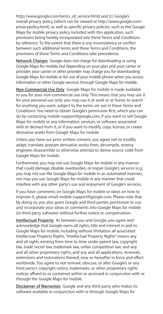http://www.google.com/terms\_of\_service.html) and (c) Google's overall privacy policy (which can be viewed at http://www.google.com/ privacypolicy.html), as well as specific privacy policies, such as the Google Maps for mobile privacy policy included with this application, such provisions being hereby incorporated into these Terms and Conditions by reference. To the extent that there is any inconsistency or conflict between such additional terms and these Terms and Conditions, the provisions of these Terms and Conditions take precedence.

**Network Charges** Google does not charge for downloading or using Google Maps for mobile, but depending on your plan and your carrier or provider, your carrier or other provider may charge you for downloading Google Maps for mobile or for use of your mobile phone when you access information or other Google services through Google Maps for mobile.

**Non-Commercial Use Only** Google Maps for mobile is made available to you for your non-commercial use only. This means that you may use it for your personal use only: you may use it at work or at home, to search for anything you want, subject to the terms set out in these Terms and Conditions. You need to obtain Google's permission first, which you can do by contacting mobile-support@google.com, if you want to sell Google Maps for mobile or any information, services, or software associated with or derived from it, or if you want to modify, copy, license, or create derivative works from Google Maps for mobile.

Unless you have our prior written consent, you agree not to modify, adapt, translate, prepare derivative works from, decompile, reverse engineer, disassemble or otherwise attempt to derive source code from Google Maps for mobile.

Furthermore, you may not use Google Maps for mobile in any manner that could damage, disable, overburden, or impair Google's services (e.g., you may not use the Google Maps for mobile in an automated manner), nor may you use Google Maps for mobile in any manner that could interfere with any other party's use and enjoyment of Google's services.

If you have comments on Google Maps for mobile or ideas on how to improve it, please email mobile-support@google.com. Please note that by doing so, you also grant Google and third parties permission to use and incorporate your ideas or comments into Google Maps for mobile (or third party software) without further notice or compensation.

**Intellectual Property** As between you and Google, you agree and acknowledge that Google owns all rights, title and interest in and to Google Maps for mobile, including without limitation all associated Intellectual Property Rights. "Intellectual Property Rights" means any and all rights existing from time to time under patent law, copyright law, trade secret law, trademark law, unfair competition law, and any and all other proprietary rights, and any and all applications, renewals, extensions and restorations thereof, now or hereafter in force and effect worldwide. You agree to not remove, obscure, or alter Google's or any third party's copyright notice, trademarks, or other proprietary rights notices affixed to or contained within or accessed in conjunction with or through the Google Maps for mobile.

**Disclaimer of Warranties** Google and any third party who makes its software available in conjunction with or through Google Maps for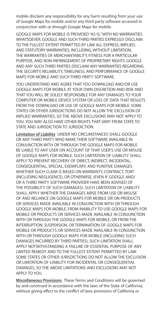mobile disclaim any responsibility for any harm resulting from your use of Google Maps for mobile and/or any third party software accessed in conjunction with or through Google Maps for mobile.

GOOGLE MAPS FOR MOBILE IS PROVIDED "AS IS," WITH NO WARRANTIES WHATSOEVER, GOOGLE AND SUCH THIRD PARTIES EXPRESSLY DISCLAIM TO THE FULLEST EXTENT PERMITTED BY LAW ALL EXPRESS, IMPLIED, AND STATUTORY WARRANTIES, INCLUDING, WITHOUT LIMITATION, THE WARRANTIES OF MERCHANTABILITY, FITNESS FOR A PARTICULAR PURPOSE, AND NON-INFRINGEMENT OF PROPRIETARY RIGHTS. GOOGLE AND ANY SUCH THIRD PARTIES DISCLAIM ANY WARRANTIES REGARDING THE SECURITY, RELIABILITY, TIMELINESS, AND PERFORMANCE OF GOOGLE MAPS FOR MOBILE AND SUCH THIRD PARTY SOFTWARE.

YOU UNDERSTAND AND AGREE THAT YOU DOWNLOAD AND/OR USE GOOGLE MAPS FOR MOBILE AT YOUR OWN DISCRETION AND RISK AND THAT YOU WILL BE SOLELY RESPONSIBLE FOR ANY DAMAGES TO YOUR COMPUTER OR MOBILE DEVICE SYSTEM OR LOSS OF DATA THAT RESULTS FROM THE DOWNLOAD OR USE OF GOOGLE MAPS FOR MOBILE. SOME STATES OR OTHER JURISDICTIONS DO NOT ALLOW THE EXCLUSION OF IMPLIED WARRANTIES, SO THE ABOVE EXCLUSIONS MAY NOT APPLY TO YOU. YOU MAY ALSO HAVE OTHER RIGHTS THAT VARY FROM STATE TO STATE AND JURISDICTION TO JURISDICTION.

**Limitation of Liability** UNDER NO CIRCUMSTANCES SHALL GOOGLE OR ANY THIRD PARTY WHO MAKE THEIR SOFTWARE AVAILABLE IN CONJUNCTION WITH OR THROUGH THE GOOGLE MAPS FOR MOBILE BE LIABLE TO ANY USER ON ACCOUNT OF THAT USER'S USE OR MISUSE OF GOOGLE MAPS FOR MOBILE. SUCH LIMITATION OF LIABILITY SHALL APPLY TO PREVENT RECOVERY OF DIRECT, INDIRECT, INCIDENTAL, CONSEQUENTIAL, SPECIAL, EXEMPLARY, AND PUNITIVE DAMAGES WHETHER SUCH CLAIM IS BASED ON WARRANTY, CONTRACT, TORT (INCLUDING NEGLIGENCE), OR OTHERWISE, (EVEN IF GOOGLE AND/ OR A THIRD PARTY SOFTWARE PROVIDER HAVE BEEN ADVISED OF THE POSSIBILITY OF SUCH DAMAGES). SUCH LIMITATION OF LIABILITY SHALL APPLY WHETHER THE DAMAGES ARISE FROM LISE OR MISUSE OF AND RELIANCE ON GOOGLE MAPS FOR MOBILE OR ON PRODUCTS OR SERVICES MADE AVAILABLE IN CONJUNCTION WITH OR THROUGH GOOGLE MAPS FOR MOBILE, FROM INABILITY TO USE GOOGLE MAPS FOR MOBILE OR PRODUCTS OR SERVICES MADE AVAILABLE IN CONJUNCTION WITH OR THROUGH THE GOOGLE MAPS FOR MOBILE, OR FROM THE INTERRUPTION, SUSPENSION, OR TERMINATION OF GOOGLE MAPS FOR MOBILE OR PRODUCTS OR SERVICES MADE AVAILABLE IN CONJUNCTION WITH OR THROUGH GOOGLE MAPS FOR MOBILE (INCLUDING SUCH DAMAGES INCURRED BY THIRD PARTIES). SUCH LIMITATION SHALL APPLY NOTWITHSTANDING A FAILURE OF ESSENTIAL PURPOSE OF ANY LIMITED REMEDY AND TO THE FULLEST EXTENT PERMITTED BY LAW. SOME STATES OR OTHER JURISDICTIONS DO NOT ALLOW THE EXCLUSION OR LIMITATION OF LIABILITY FOR INCIDENTAL OR CONSEQUENTIAL DAMAGES, SO THE ABOVE LIMITATIONS AND EXCLUSIONS MAY NOT APPLY TO YOU.

**Miscellaneous Provisions** These Terms and Conditions will be governed by and construed in accordance with the laws of the State of California, without giving effect to the conflict of laws provisions of California or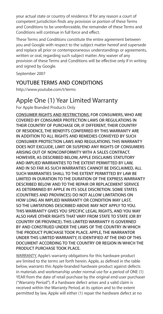your actual state or country of residence. If for any reason a court of competent jurisdiction finds any provision or portion of these Terms and Conditions to be unenforceable, the remainder of these Terms and Conditions will continue in full force and effect.

These Terms and Conditions constitute the entire agreement between you and Google with respect to the subject matter hereof and supersede and replace all prior or contemporaneous understandings or agreements, written or oral, regarding such subject matter. Any waiver of any provision of these Terms and Conditions will be effective only if in writing and signed by Google.

September 2007

## **YOUTUBE TERMS AND CONDITIONS**

http://www.youtube.com/t/terms

# Apple One (1) Year Limited Warranty

For Apple Branded Products Only

**CONSUMER RIGHTS AND RESTRICTIONS. FOR CONSUMERS, WHO ARE COVERED BY CONSUMER PROTECTION LAWS OR REGULATIONS IN THEIR COUNTRY OF PURCHASE OR, IF DIFFERENT, THEIR COUNTRY OF RESIDENCE, THE BENEFITS CONFERRED BY THIS WARRANTY ARE IN ADDITION TO ALL RIGHTS AND REMEDIES CONVEYED BY SUCH CONSUMER PROTECTION LAWS AND REGULATIONS. THIS WARRANTY DOES NOT EXCLUDE, LIMIT OR SUSPEND ANY RIGHTS OF CONSUMERS ARISING OUT OF NONCONFORMITY WITH A SALES CONTRACT. HOWEVER, AS DESCRIBED BELOW, APPLE DISCLAIMS STATUTORY AND IMPLIED WARRANTIES TO THE EXTENT PERMITTED BY LAW, AND IN SO FAR AS SUCH WARRANTIES CANNOT BE DISCLAIMED, ALL SUCH WARRANTIES SHALL TO THE EXTENT PERMITTED BY LAW BE LIMITED IN DURATION TO THE DURATION OF THE EXPRESS WARRANTY DESCRIBED BELOW AND TO THE REPAIR OR REPLACEMENT SERVICE AS DETERMINED BY APPLE IN ITS SOLE DISCRETION. SOME STATES (COUNTRIES AND PROVINCES) DO NOT ALLOW LIMITATIONS ON HOW LONG AN IMPLIED WARRANTY OR CONDITION MAY LAST, SO THE LIMITATIONS DESCRIBED ABOVE MAY NOT APPLY TO YOU. THIS WARRANTY GIVES YOU SPECIFIC LEGAL RIGHTS, AND YOU MAY ALSO HAVE OTHER RIGHTS THAT VARY FROM STATE TO STATE (OR BY COUNTRY OR PROVINCE). THIS LIMITED WARRANTY IS GOVERNED BY AND CONSTRUED UNDER THE LAWS OF THE COUNTRY IN WHICH THE PRODUCT PURCHASE TOOK PLACE. APPLE, THE WARRANTOR UNDER THIS LIMITED WARRANTY, IS IDENTIFIED AT THE END OF THIS DOCUMENT ACCORDING TO THE COUNTRY OR REGION IN WHICH THE PRODUCT PURCHASE TOOK PLACE.**

WARRANTY. Apple's warranty obligations for this hardware product are limited to the terms set forth herein. Apple, as defined in the table below, warrants this Apple-branded hardware product against defects in materials and workmanship under normal use for a period of ONE (1) YEAR from the date of retail purchase by the original end-user purchaser ("Warranty Period"). If a hardware defect arises and a valid claim is received within the Warranty Period, at its option and to the extent permitted by law, Apple will either (1) repair the hardware defect at no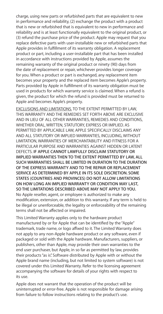charge, using new parts or refurbished parts that are equivalent to new in performance and reliability, (2) exchange the product with a product that is new or refurbished that is equivalent to new in performance and reliability and is at least functionally equivalent to the original product, or (3) refund the purchase price of the product. Apple may request that you replace defective parts with user-installable new or refurbished parts that Apple provides in fulfillment of its warranty obligation. A replacement product or part, including a user-installable part that has been installed in accordance with instructions provided by Apple, assumes the remaining warranty of the original product or ninety (90) days from the date of replacement or repair, whichever provides longer coverage for you. When a product or part is exchanged, any replacement item becomes your property and the replaced item becomes Apple's property. Parts provided by Apple in fulfillment of its warranty obligation must be used in products for which warranty service is claimed. When a refund is given, the product for which the refund is provided must be returned to Apple and becomes Apple's property.

EXCLUSIONS AND LIMITATIONS. TO THE EXTENT PERMITTED BY LAW, THIS WARRANTY AND THE REMEDIES SET FORTH ABOVE ARE EXCLUSIVE AND IN LIEU OF ALL OTHER WARRANTIES, REMEDIES AND CONDITIONS, WHETHER ORAL, WRITTEN, STATUTORY, EXPRESS OR IMPLIED. AS PERMITTED BY APPLICABLE LAW, APPLE SPECIFICALLY DISCLAIMS ANY AND ALL STATUTORY OR IMPLIED WARRANTIES, INCLUDING, WITHOUT LIMITATION, WARRANTIES OF MERCHANTABILITY AND FITNESS FOR A PARTICULAR PURPOSE AND WARRANTIES AGAINST HIDDEN OR LATENT DEFECTS. **IF APPLE CANNOT LAWFULLY DISCLAIM STATUTORY OR IMPLIED WARRANTIES THEN TO THE EXTENT PERMITTED BY LAW, ALL SUCH WARRANTIES SHALL BE LIMITED IN DURATION TO THE DURATION OF THE EXPRESS WARRANTY AND TO THE REPAIR OR REPLACEMENT SERVICE AS DETERMINED BY APPLE IN ITS SOLE DISCRETION. SOME STATES (COUNTRIES AND PROVINCES) DO NOT ALLOW LIMITATIONS ON HOW LONG AN IMPLIED WARRANTY OR CONDITION MAY LAST, SO THE LIMITATIONS DESCRIBED ABOVE MAY NOT APPLY TO YOU.** No Apple reseller, agent, or employee is authorized to make any modification, extension, or addition to this warranty. If any term is held to be illegal or unenforceable, the legality or enforceability of the remaining terms shall not be affected or impaired.

This Limited Warranty applies only to the hardware product manufactured by or for Apple that can be identified by the "Apple" trademark, trade name, or logo affixed to it. The Limited Warranty does not apply to any non-Apple hardware product or any software, even if packaged or sold with the Apple hardware. Manufacturers, suppliers, or publishers, other than Apple, may provide their own warranties to the end user purchaser, but Apple, in so far as permitted by law, provides their products "as is". Software distributed by Apple with or without the Apple brand name (including, but not limited to system software) is not covered under this Limited Warranty. Refer to the licensing agreement accompanying the software for details of your rights with respect to its use.

Apple does not warrant that the operation of the product will be uninterrupted or error-free. Apple is not responsible for damage arising from failure to follow instructions relating to the product's use.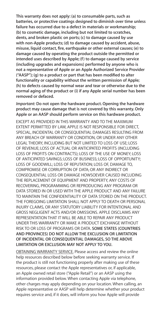**This warranty does not apply: (a) to consumable parts, such as batteries, or protective coatings designed to diminish over time unless failure has occurred due to a defect in materials or workmanship;**  (b) to cosmetic damage, including but not limited to scratches **dents, and broken plastic on ports; (c) to damage caused by use with non-Apple products; (d) to damage caused by accident, abuse, misuse, liquid contact, fire, earthquake or other external causes; (e) to damage caused by operating the product outside the permitted or intended uses described by Apple; (f) to damage caused by service (including upgrades and expansions) performed by anyone who is not a representative of Apple or an Apple Authorized Service Provider ("AASP"); (g) to a product or part that has been modified to alter functionality or capability without the written permission of Apple; (h) to defects caused by normal wear and tear or otherwise due to the normal aging of the product or (i) if any Apple serial number has been removed or defaced.**

*Important:* **Do not open the hardware product. Opening the hardware product may cause damage that is not covered by this warranty. Only Apple or an AASP should perform service on this hardware product.**

EXCEPT AS PROVIDED IN THIS WARRANTY AND TO THE MAXIMUM EXTENT PERMITTED BY LAW, APPLE IS NOT RESPONSIBLE FOR DIRECT SPECIAL, INCIDENTAL OR CONSEQUENTIAL DAMAGES RESULTING FROM ANY BREACH OF WARRANTY OR CONDITION, OR UNDER ANY OTHER LEGAL THEORY, INCLUDING BUT NOT LIMITED TO LOSS OF USE; LOSS OF REVENUE; LOSS OF ACTUAL OR ANTICIPATED PROFITS (INCLUDING LOSS OF PROFITS ON CONTRACTS); LOSS OF THE USE OF MONEY; LOSS OF ANTICIPATED SAVINGS; LOSS OF BUSINESS; LOSS OF OPPORTUNITY; LOSS OF GOODWILL; LOSS OF REPUTATION; LOSS OF, DAMAGE TO, COMPROMISE OR CORRUPTION OF DATA; OR ANY INDIRECT OR CONSEQUENTIAL LOSS OR DAMAGE HOWSOEVER CAUSED INCLUDING THE REPLACEMENT OF EQUIPMENT AND PROPERTY, ANY COSTS OF RECOVERING, PROGRAMMING OR REPRODUCING ANY PROGRAM OR DATA STORED IN OR USED WITH THE APPLE PRODUCT AND ANY FAILURE TO MAINTAIN THE CONFIDENTIALITY OF DATA STORED ON THE PRODUCT. THE FOREGOING LIMITATION SHALL NOT APPLY TO DEATH OR PERSONAL INJURY CLAIMS, OR ANY STATUTORY LIABILITY FOR INTENTIONAL AND GROSS NEGLIGENT ACTS AND/OR OMISSIONS. APPLE DISCLAIMS ANY REPRESENTATION THAT IT WILL BE ABLE TO REPAIR ANY PRODUCT UNDER THIS WARRANTY OR MAKE A PRODUCT EXCHANGE WITHOUT RISK TO OR LOSS OF PROGRAMS OR DATA. **SOME STATES (COUNTRIES AND PROVINCES) DO NOT ALLOW THE EXCLUSION OR LIMITATION OF INCIDENTAL OR CONSEQUENTIAL DAMAGES, SO THE ABOVE LIMITATION OR EXCLUSION MAY NOT APPLY TO YOU.**

OBTAINING WARRANTY SERVICE. Please access and review the online help resources described below before seeking warranty service. If the product is still not functioning properly after making use of these resources, please contact the Apple representatives or, if applicable, an Apple owned retail store ("Apple Retail") or an AASP using the information provided below. When contacting Apple via telephone, other charges may apply depending on your location. When calling, an Apple representative or AASP will help determine whether your product requires service and, if it does, will inform you how Apple will provide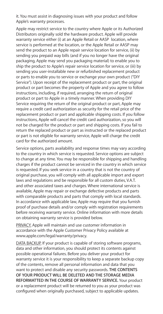it. You must assist in diagnosing issues with your product and follow Apple's warranty processes.

Apple may restrict service to the country where Apple or its Authorized Distributors originally sold the hardware product. Apple will provide warranty service either (i) at an Apple Retail or AASP location, where service is performed at the location, or the Apple Retail or AASP may send the product to an Apple repair service location for service, (ii) by sending you prepaid way bills (and if you no longer have the original packaging, Apple may send you packaging material) to enable you to ship the product to Apple's repair service location for service, or (iii) by sending you user-installable new or refurbished replacement product or parts to enable you to service or exchange your own product ("DIY Service"). Upon receipt of the replacement product or part, the original product or part becomes the property of Apple and you agree to follow instructions, including, if required, arranging the return of original product or part to Apple in a timely manner. When providing DIY Service requiring the return of the original product or part, Apple may require a credit card authorization as security for the retail price of the replacement product or part and applicable shipping costs. If you follow instructions, Apple will cancel the credit card authorization, so you will not be charged for the product or part and shipping costs. If you fail to return the replaced product or part as instructed or the replaced product or part is not eligible for warranty service, Apple will charge the credit card for the authorized amount.

Service options, parts availability and response times may vary according to the country in which service is requested. Service options are subject to change at any time. You may be responsible for shipping and handling charges if the product cannot be serviced in the country in which service is requested. If you seek service in a country that is not the country of original purchase, you will comply with all applicable import and export laws and regulations and be responsible for all custom duties, V.A.T. and other associated taxes and charges. Where international service is available, Apple may repair or exchange defective products and parts with comparable products and parts that comply with local standards. In accordance with applicable law, Apple may require that you furnish proof of purchase details and/or comply with registration requirements before receiving warranty service. Online information with more details on obtaining warranty service is provided below.

PRIVACY. Apple will maintain and use customer information in **accordance** with the Apple Customer Privacy Policy available at www.apple.com/legal/warranty/privacy.

DATA BACKUP. If your product is capable of storing software programs, data and other information, you should protect its contents against possible operational failures. Before you deliver your product for warranty service it is your responsibility to keep a separate backup copy of the contents, remove all personal information and data that you want to protect and disable any security passwords. **THE CONTENTS OF YOUR PRODUCT WILL BE DELETED AND THE STORAGE MEDIA REFORMATTED IN THE COURSE OF WARRANTY SERVICE.** Your product or a replacement product will be returned to you as your product was configured when originally purchased, subject to applicable updates.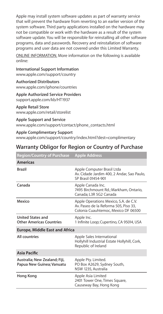Apple may install system software updates as part of warranty service that will prevent the hardware from reverting to an earlier version of the system software. Third party applications installed on the hardware may not be compatible or work with the hardware as a result of the system software update. You will be responsible for reinstalling all other software programs, data and passwords. Recovery and reinstallation of software programs and user data are not covered under this Limited Warranty.

ONLINE INFORMATION. More information on the following is available online:

**International Support Information** www.apple.com/support/country

**Authorized Distributors**

www.apple.com/iphone/countries

**Apple Authorized Service Providers** support.apple.com/kb/HT1937

**Apple Retail Store** www.apple.com/retail/storelist

**Apple Support and Service** www.apple.com/support/contact/phone\_contacts.html

**Apple Complimentary Support** www.apple.com/support/country/index.html?dest=complimentary

# **Warranty Obligor for Region or Country of Purchase**

| <b>Region/Country of Purchase</b>                          | <b>Apple Address</b>                                                                                                  |
|------------------------------------------------------------|-----------------------------------------------------------------------------------------------------------------------|
| <b>Americas</b>                                            |                                                                                                                       |
| Brazil                                                     | Apple Computer Brasil Ltda<br>Av. Cidade Jardim 400, 2 Andar, Sao Paulo,<br>SP Brasil 01454-901                       |
| Canada                                                     | Apple Canada Inc.<br>7495 Birchmount Rd.; Markham, Ontario,<br>Canada: L3R 5G2 Canada                                 |
| Mexico                                                     | Apple Operations Mexico, S.A. de C.V.<br>Av. Paseo de la Reforma 505, Piso 33,<br>Colonia Cuauhtemoc, Mexico DF 06500 |
| <b>United States and</b><br>Other Americas Countries       | Apple Inc.<br>1 Infinite Loop; Cupertino, CA 95014, USA                                                               |
| <b>Europe, Middle East and Africa</b>                      |                                                                                                                       |
| All countries                                              | Apple Sales International<br>Hollyhill Industrial Estate Hollyhill, Cork,<br>Republic of Ireland                      |
| <b>Asia Pacific</b>                                        |                                                                                                                       |
| Australia; New Zealand; Fiji,<br>Papua New Guinea; Vanuatu | Apple Pty. Limited.<br>PO Box A2629, Sydney South,<br>NSW 1235, Australia                                             |
| Hong Kong                                                  | Apple Asia Limited<br>2401 Tower One, Times Square,<br>Causeway Bay, Hong Kong                                        |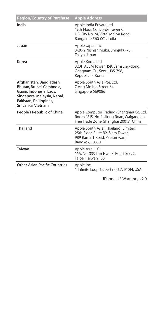| <b>Region/Country of Purchase</b>                                                                                                                              | <b>Apple Address</b>                                                                                                             |
|----------------------------------------------------------------------------------------------------------------------------------------------------------------|----------------------------------------------------------------------------------------------------------------------------------|
| India                                                                                                                                                          | Apple India Private Ltd.<br>19th Floor, Concorde Tower C.<br>UB City No 24. Vittal Mallya Road.<br>Bangalore 560-001, India      |
| Japan                                                                                                                                                          | Apple Japan Inc.<br>3-20-2 Nishishinjuku, Shinjuku-ku,<br>Tokvo, Japan                                                           |
| Korea                                                                                                                                                          | Apple Korea Ltd.<br>3201, ASEM Tower: 159, Samsung-dong,<br>Gangnam-Gu; Seoul 135-798,<br>Republic of Korea                      |
| Afghanistan, Bangladesh,<br>Bhutan, Brunei, Cambodia,<br>Guam, Indonesia, Laos.<br>Singapore, Malaysia, Nepal,<br>Pakistan, Philippines,<br>Sri Lanka, Vietnam | Apple South Asia Pte. Ltd.<br>7 Ang Mo Kio Street 64<br>Singapore 569086                                                         |
| People's Republic of China                                                                                                                                     | Apple Computer Trading (Shanghai) Co. Ltd.<br>Room 1815, No. 1 Jilong Road, Wajgaogiao<br>Free Trade Zone, Shanghai 200131 China |
| Thailand                                                                                                                                                       | Apple South Asia (Thailand) Limited<br>25th Floor, Suite B2, Siam Tower,<br>989 Rama 1 Road, Pataumwan,<br>Bangkok, 10330        |
| Taiwan                                                                                                                                                         | Apple Asia LLC<br>16A, No. 333 Tun Hwa S. Road, Sec. 2.<br>Taipei, Taiwan 106                                                    |
| Other Asian Pacific Countries                                                                                                                                  | Apple Inc.<br>1 Infinite Loop: Cupertino, CA 95014, USA                                                                          |

iPhone US Warranty v2.0